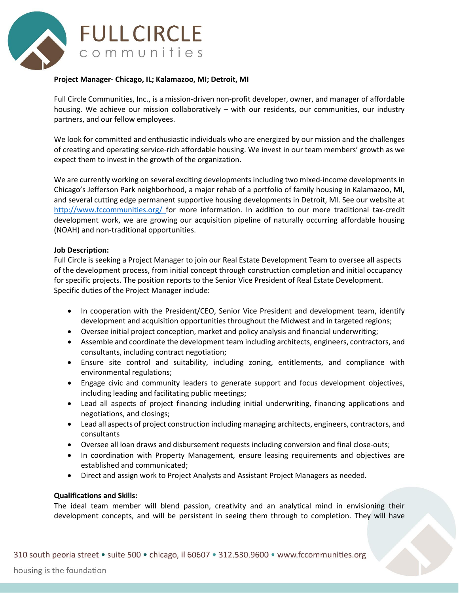

## **Project Manager- Chicago, IL; Kalamazoo, MI; Detroit, MI**

Full Circle Communities, Inc., is a mission-driven non-profit developer, owner, and manager of affordable housing. We achieve our mission collaboratively – with our residents, our communities, our industry partners, and our fellow employees.

We look for committed and enthusiastic individuals who are energized by our mission and the challenges of creating and operating service-rich affordable housing. We invest in our team members' growth as we expect them to invest in the growth of the organization.

We are currently working on several exciting developments including two mixed-income developments in Chicago's Jefferson Park neighborhood, a major rehab of a portfolio of family housing in Kalamazoo, MI, and several cutting edge permanent supportive housing developments in Detroit, MI. See our website at <http://www.fccommunities.org/> for more information. In addition to our more traditional tax-credit development work, we are growing our acquisition pipeline of naturally occurring affordable housing (NOAH) and non-traditional opportunities.

## **Job Description:**

Full Circle is seeking a Project Manager to join our Real Estate Development Team to oversee all aspects of the development process, from initial concept through construction completion and initial occupancy for specific projects. The position reports to the Senior Vice President of Real Estate Development. Specific duties of the Project Manager include:

- In cooperation with the President/CEO, Senior Vice President and development team, identify development and acquisition opportunities throughout the Midwest and in targeted regions;
- Oversee initial project conception, market and policy analysis and financial underwriting;
- Assemble and coordinate the development team including architects, engineers, contractors, and consultants, including contract negotiation;
- Ensure site control and suitability, including zoning, entitlements, and compliance with environmental regulations;
- Engage civic and community leaders to generate support and focus development objectives, including leading and facilitating public meetings;
- Lead all aspects of project financing including initial underwriting, financing applications and negotiations, and closings;
- Lead all aspects of project construction including managing architects, engineers, contractors, and consultants
- Oversee all loan draws and disbursement requests including conversion and final close-outs;
- In coordination with Property Management, ensure leasing requirements and objectives are established and communicated;
- Direct and assign work to Project Analysts and Assistant Project Managers as needed.

## **Qualifications and Skills:**

The ideal team member will blend passion, creativity and an analytical mind in envisioning their development concepts, and will be persistent in seeing them through to completion. They will have